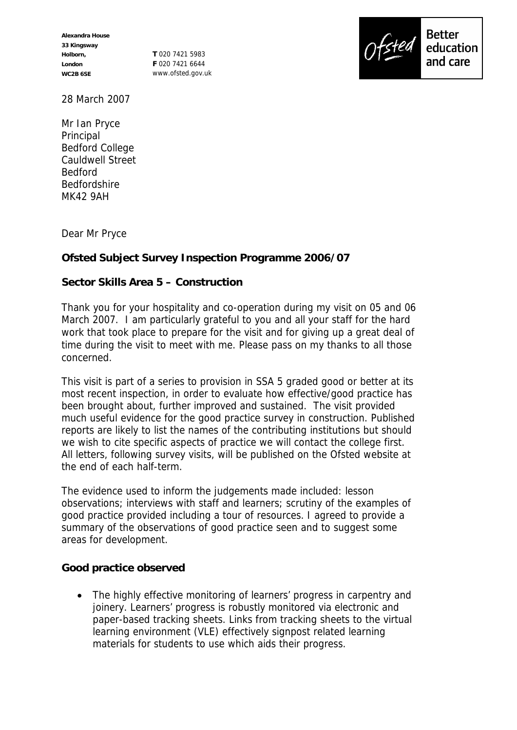**Alexandra House 33 Kingsway Holborn, London WC2B 6SE**

**T** 020 7421 5983 **F** 020 7421 6644 www.ofsted.gov.uk



28 March 2007

Mr Ian Pryce Principal Bedford College Cauldwell Street Bedford Bedfordshire MK42 9AH

Dear Mr Pryce

**Ofsted Subject Survey Inspection Programme 2006/07**

## **Sector Skills Area 5 – Construction**

Thank you for your hospitality and co-operation during my visit on 05 and 06 March 2007. I am particularly grateful to you and all your staff for the hard work that took place to prepare for the visit and for giving up a great deal of time during the visit to meet with me. Please pass on my thanks to all those concerned.

This visit is part of a series to provision in SSA 5 graded good or better at its most recent inspection, in order to evaluate how effective/good practice has been brought about, further improved and sustained. The visit provided much useful evidence for the good practice survey in construction. Published reports are likely to list the names of the contributing institutions but should we wish to cite specific aspects of practice we will contact the college first. All letters, following survey visits, will be published on the Ofsted website at the end of each half-term.

The evidence used to inform the judgements made included: lesson observations; interviews with staff and learners; scrutiny of the examples of good practice provided including a tour of resources. I agreed to provide a summary of the observations of good practice seen and to suggest some areas for development.

**Good practice observed** 

• The highly effective monitoring of learners' progress in carpentry and joinery. Learners' progress is robustly monitored via electronic and paper-based tracking sheets. Links from tracking sheets to the virtual learning environment (VLE) effectively signpost related learning materials for students to use which aids their progress.